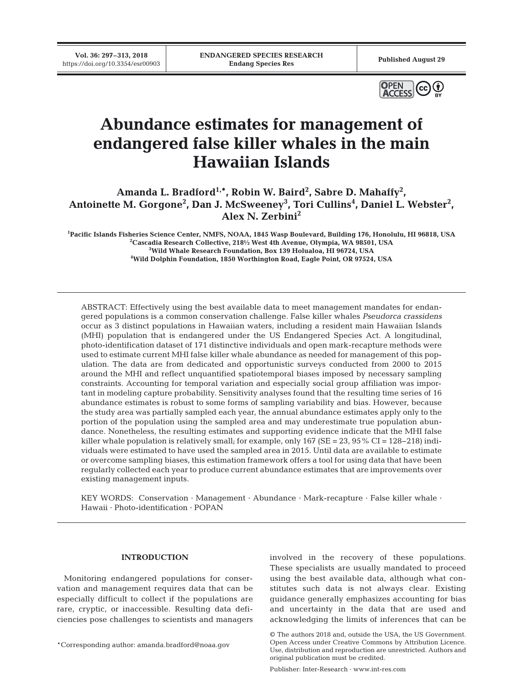**Vol. 36: 297–313, 2018**



# **Abundance estimates for management of endangered false killer whales in the main Hawaiian Islands**

Amanda L. Bradford<sup>1,\*</sup>, Robin W. Baird<sup>2</sup>, Sabre D. Mahaffy<sup>2</sup>, Antoinette M. Gorgone<sup>2</sup>, Dan J. McSweeney<sup>3</sup>, Tori Cullins<sup>4</sup>, Daniel L. Webster<sup>2</sup>, **Alex N. Zerbini2**

 **Pacific Islands Fisheries Science Center, NMFS, NOAA, 1845 Wasp Boulevard, Building 176, Honolulu, HI 96818, USA Cascadia Research Collective, 218½ West 4th Avenue, Olympia, WA 98501, USA Wild Whale Research Foundation, Box 139 Holualoa, HI 96724, USA Wild Dolphin Foundation, 1850 Worthington Road, Eagle Point, OR 97524, USA**

ABSTRACT: Effectively using the best available data to meet management mandates for endangered populations is a common conservation challenge. False killer whales *Pseudorca crassidens* occur as 3 distinct populations in Hawaiian waters, including a resident main Hawaiian Islands (MHI) population that is endangered under the US Endangered Species Act. A longitudinal, photo-identification dataset of 171 distinctive individuals and open mark-recapture methods were used to estimate current MHI false killer whale abundance as needed for management of this population. The data are from dedicated and opportunistic surveys conducted from 2000 to 2015 around the MHI and reflect unquantified spatiotemporal biases imposed by necessary sampling constraints. Accounting for temporal variation and especially social group affiliation was important in modeling capture probability. Sensitivity analyses found that the resulting time series of 16 abundance estimates is robust to some forms of sampling variability and bias. However, because the study area was partially sampled each year, the annual abundance estimates apply only to the portion of the population using the sampled area and may underestimate true population abundance. Nonetheless, the resulting estimates and supporting evidence indicate that the MHI false killer whale population is relatively small; for example, only  $167$  (SE = 23, 95% CI =  $128-218$ ) individuals were estimated to have used the sampled area in 2015. Until data are available to estimate or overcome sampling biases, this estimation framework offers a tool for using data that have been regularly collected each year to produce current abundance estimates that are improvements over existing management inputs.

KEY WORDS: Conservation · Management · Abundance · Mark-recapture · False killer whale · Hawaii · Photo-identification · POPAN

# **INTRODUCTION**

Monitoring endangered populations for conservation and management requires data that can be especially difficult to collect if the populations are rare, cryptic, or inaccessible. Resulting data deficiencies pose challenges to scientists and managers

\*Corresponding author: amanda.bradford@noaa.gov

involved in the recovery of these populations. These specialists are usually mandated to proceed using the best available data, although what constitutes such data is not always clear. Existing guidance generally emphasizes accounting for bias and uncertainty in the data that are used and acknowledging the limits of inferences that can be

Publisher: Inter-Research · www.int-res.com

<sup>©</sup> The authors 2018 and, outside the USA, the US Government. Open Access under Creative Commons by Attribution Licence. Use, distribution and reproduction are unrestricted. Authors and original publication must be credited.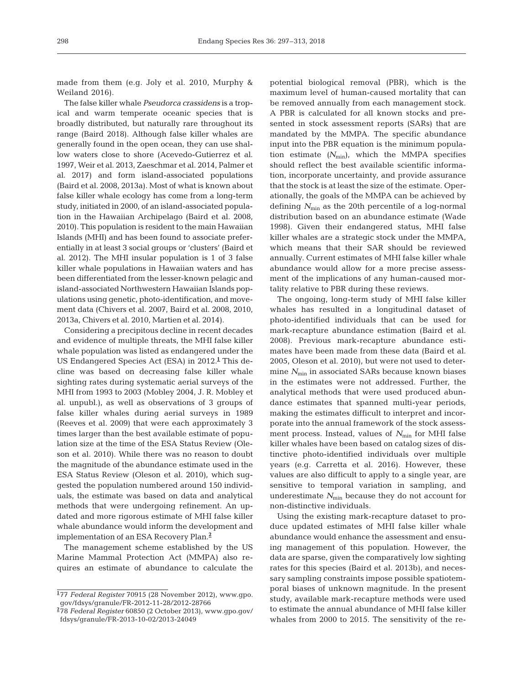made from them (e.g. Joly et al. 2010, Murphy & Weiland 2016).

The false killer whale *Pseudorca crassidens* is a tropical and warm temperate oceanic species that is broadly distributed, but naturally rare throughout its range (Baird 2018). Although false killer whales are generally found in the open ocean, they can use shallow waters close to shore (Acevedo-Gutierrez et al. 1997, Weir et al. 2013, Zaeschmar et al. 2014, Palmer et al. 2017) and form island-associated populations (Baird et al. 2008, 2013a). Most of what is known about false killer whale ecology has come from a long-term study, initiated in 2000, of an island-associated population in the Hawaiian Archipelago (Baird et al. 2008, 2010). This population is resident to the main Hawaiian Islands (MHI) and has been found to associate preferentially in at least 3 social groups or 'clusters' (Baird et al. 2012). The MHI insular population is 1 of 3 false killer whale populations in Hawaiian waters and has been differentiated from the lesser-known pelagic and island-associated Northwestern Hawaiian Islands populations using genetic, photo-identification, and movement data (Chivers et al. 2007, Baird et al. 2008, 2010, 2013a, Chivers et al. 2010, Martien et al. 2014).

Considering a precipitous decline in recent decades and evidence of multiple threats, the MHI false killer whale population was listed as endangered under the US Endangered Species Act (ESA) in 2012.**<sup>1</sup>** This decline was based on decreasing false killer whale sighting rates during systematic aerial surveys of the MHI from 1993 to 2003 (Mobley 2004, J. R. Mobley et al. unpubl.), as well as observations of 3 groups of false killer whales during aerial surveys in 1989 (Reeves et al. 2009) that were each approximately 3 times larger than the best available estimate of population size at the time of the ESA Status Review (Oleson et al. 2010). While there was no reason to doubt the magnitude of the abundance estimate used in the ESA Status Review (Oleson et al. 2010), which suggested the population numbered around 150 individuals, the estimate was based on data and analytical methods that were undergoing refinement. An updated and more rigorous estimate of MHI false killer whale abundance would inform the development and implementation of an ESA Recovery Plan.**<sup>2</sup>**

The management scheme established by the US Marine Mammal Protection Act (MMPA) also re quires an estimate of abundance to calculate the potential biological removal (PBR), which is the maximum level of human-caused mortality that can be removed annually from each management stock. A PBR is calculated for all known stocks and presented in stock assessment reports (SARs) that are mandated by the MMPA. The specific abundance input into the PBR equation is the minimum population estimate  $(N_{\text{min}})$ , which the MMPA specifies should reflect the best available scientific information, incorporate uncertainty, and provide assurance that the stock is at least the size of the estimate. Operationally, the goals of the MMPA can be achieved by defining  $N_{\text{min}}$  as the 20th percentile of a log-normal distribution based on an abundance estimate (Wade 1998). Given their endangered status, MHI false killer whales are a strategic stock under the MMPA, which means that their SAR should be reviewed annually. Current estimates of MHI false killer whale abundance would allow for a more precise assessment of the implications of any human-caused mortality relative to PBR during these reviews.

The ongoing, long-term study of MHI false killer whales has resulted in a longitudinal dataset of photo-identified individuals that can be used for mark- recapture abundance estimation (Baird et al. 2008). Previous mark-recapture abundance estimates have been made from these data (Baird et al. 2005, Oleson et al. 2010), but were not used to determine  $N_{\text{min}}$  in associated SARs because known biases in the estimates were not addressed. Further, the analytical methods that were used produced abundance estimates that spanned multi-year periods, making the estimates difficult to interpret and incorporate into the annual framework of the stock assessment process. Instead, values of  $N_{\text{min}}$  for MHI false killer whales have been based on catalog sizes of distinctive photo-identified individuals over multiple years (e.g. Carretta et al. 2016). However, these values are also difficult to apply to a single year, are sensitive to temporal variation in sampling, and underestimate  $N_{\text{min}}$  because they do not account for non-distinctive individuals.

Using the existing mark-recapture dataset to produce updated estimates of MHI false killer whale abundance would enhance the assessment and ensuing management of this population. However, the data are sparse, given the comparatively low sighting rates for this species (Baird et al. 2013b), and necessary sampling constraints impose possible spatiotemporal biases of unknown magnitude. In the present study, available mark-recapture methods were used to estimate the annual abundance of MHI false killer whales from 2000 to 2015. The sensitivity of the re-

**<sup>1</sup>** 77 *Federal Register* 70915 (28 November 2012), www. gpo. gov/fdsys/granule/FR-2012-11-28/2012-28766

**<sup>2</sup>** 78 *Federal Register* 60850 (2 October 2013), www. gpo. gov/ fdsys/ granule/ FR-2013-10-02/2013-24049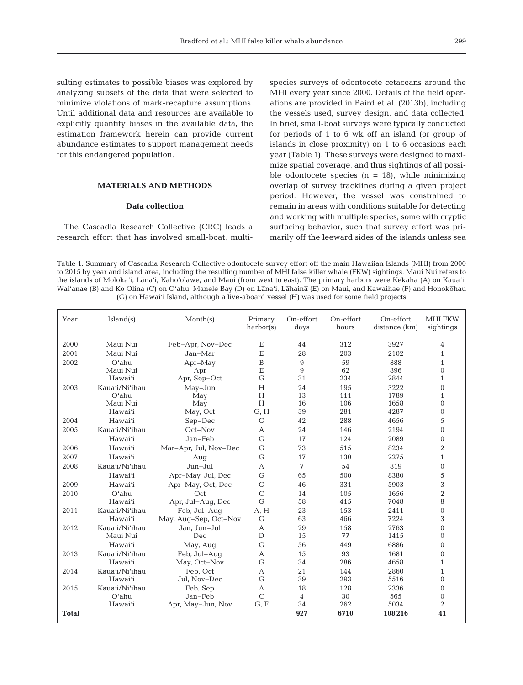sulting estimates to possible biases was explored by analyzing subsets of the data that were selected to minimize violations of mark-recapture assumptions. Until additional data and resources are available to explicitly quantify biases in the available data, the estimation framework herein can provide current abundance estimates to support management needs for this endangered population.

# **MATERIALS AND METHODS**

## **Data collection**

The Cascadia Research Collective (CRC) leads a research effort that has involved small-boat, multi-

species surveys of odontocete cetaceans around the MHI every year since 2000. Details of the field operations are provided in Baird et al. (2013b), including the vessels used, survey design, and data collected. In brief, small-boat surveys were typically conducted for periods of 1 to 6 wk off an island (or group of islands in close proximity) on 1 to 6 occasions each year (Table 1). These surveys were designed to maximize spatial coverage, and thus sightings of all possible odontocete species ( $n = 18$ ), while minimizing overlap of survey tracklines during a given project period. However, the vessel was constrained to remain in areas with conditions suitable for detecting and working with multiple species, some with cryptic surfacing behavior, such that survey effort was primarily off the leeward sides of the islands unless sea

Table 1. Summary of Cascadia Research Collective odontocete survey effort off the main Hawaiian Islands (MHI) from 2000 to 2015 by year and island area, including the resulting number of MHI false killer whale (FKW) sightings. Maui Nui refers to the islands of Moloka'i, Lana'i, Kaho'olawe, and Maui (from west to east). The primary harbors were Kekaha (A) on Kaua'i, Wai'anae (B) and Ko Olina (C) on O'ahu, Manele Bay (D) on Lana'i, Lahaina (E) on Maui, and Kawaihae (F) and Honokohau (G) on Hawai'i Island, although a live-aboard vessel (H) was used for some field projects

| Year         | Island(s)      | Month(s)              | Primary<br>harbor(s) | On-effort<br>days | On-effort<br>hours | On-effort<br>distance (km) | <b>MHI FKW</b><br>sightings |
|--------------|----------------|-----------------------|----------------------|-------------------|--------------------|----------------------------|-----------------------------|
| 2000         | Maui Nui       | Feb-Apr, Nov-Dec      | E                    | 44                | 312                | 3927                       | 4                           |
| 2001         | Maui Nui       | Jan-Mar               | E                    | 28                | 203                | 2102                       | 1                           |
| 2002         | $O'$ ahu       | $Apr-May$             | B                    | 9                 | 59                 | 888                        | 1                           |
|              | Maui Nui       | Apr                   | E                    | 9                 | 62                 | 896                        | $\Omega$                    |
|              | Hawai'i        | Apr, Sep-Oct          | G                    | 31                | 234                | 2844                       | 1                           |
| 2003         | Kaua'i/Ni'ihau | May-Jun               | H                    | 24                | 195                | 3222                       | $\Omega$                    |
|              | $O'$ ahu       | May                   | H                    | 13                | 111                | 1789                       | 1                           |
|              | Maui Nui       | May                   | H                    | 16                | 106                | 1658                       | $\Omega$                    |
|              | Hawai'i        | May, Oct              | G, H                 | 39                | 281                | 4287                       | $\Omega$                    |
| 2004         | Hawai'i        | Sep-Dec               | G                    | 42                | 288                | 4656                       | 5                           |
| 2005         | Kaua'i/Ni'ihau | Oct-Nov               | A                    | 24                | 146                | 2194                       | $\Omega$                    |
|              | Hawai'i        | Jan-Feb               | G                    | 17                | 124                | 2089                       | $\Omega$                    |
| 2006         | Hawai'i        | Mar-Apr, Jul, Nov-Dec | G                    | 73                | 515                | 8234                       | $\overline{2}$              |
| 2007         | Hawai'i        | Aug                   | G                    | 17                | 130                | 2275                       | $\mathbf{1}$                |
| 2008         | Kaua'i/Ni'ihau | $Jun-Jul$             | A                    | 7                 | 54                 | 819                        | $\mathbf{0}$                |
|              | Hawai'i        | Apr-May, Jul, Dec     | G                    | 65                | 500                | 8380                       | 5                           |
| 2009         | Hawai'i        | Apr-May, Oct, Dec     | G                    | 46                | 331                | 5903                       | 3                           |
| 2010         | $O'$ ahu       | Oct                   | $\mathcal{C}$        | 14                | 105                | 1656                       | $\overline{2}$              |
|              | Hawai'i        | Apr, Jul-Aug, Dec     | G                    | 58                | 415                | 7048                       | 8                           |
| 2011         | Kaua'i/Ni'ihau | Feb, Jul-Aug          | A, H                 | 23                | 153                | 2411                       | $\mathbf{0}$                |
|              | Hawai'i        | May, Aug-Sep, Oct-Nov | G                    | 63                | 466                | 7224                       | 3                           |
| 2012         | Kaua'i/Ni'ihau | Jan, Jun-Jul          | A                    | 29                | 158                | 2763                       | $\Omega$                    |
|              | Maui Nui       | Dec                   | $\mathbf{D}$         | 15                | 77                 | 1415                       | $\Omega$                    |
|              | Hawai'i        | May, Aug              | G                    | 56                | 449                | 6886                       | $\Omega$                    |
| 2013         | Kaua'i/Ni'ihau | Feb, Jul-Aug          | A                    | 15                | 93                 | 1681                       | $\Omega$                    |
|              | Hawai'i        | May, Oct-Nov          | G                    | 34                | 286                | 4658                       | 1                           |
| 2014         | Kaua'i/Ni'ihau | Feb, Oct              | A                    | 21                | 144                | 2860                       | 1                           |
|              | Hawai'i        | Jul, Nov-Dec          | G                    | 39                | 293                | 5516                       | $\Omega$                    |
| 2015         | Kaua'i/Ni'ihau | Feb, Sep              | $\mathbf{A}$         | 18                | 128                | 2336                       | $\Omega$                    |
|              | $O'$ ahu       | Jan-Feb               | $\mathcal{C}$        | 4                 | 30                 | 565                        | $\mathbf{0}$                |
|              | Hawai'i        | Apr, May-Jun, Nov     | G, F                 | 34                | 262                | 5034                       | $\overline{2}$              |
| <b>Total</b> |                |                       |                      | 927               | 6710               | 108216                     | 41                          |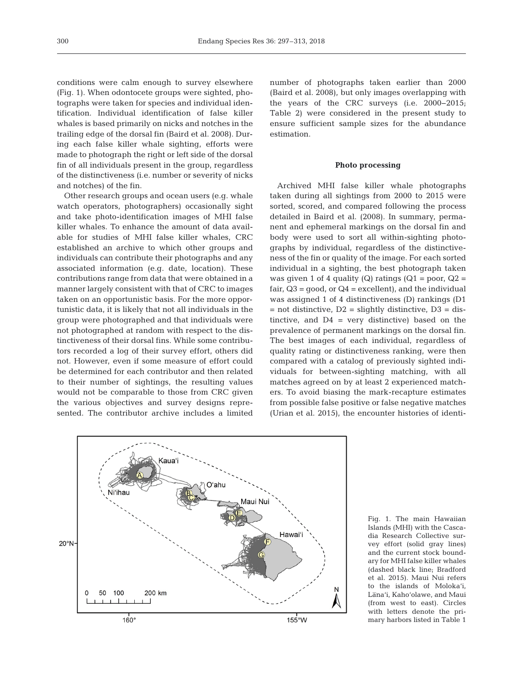conditions were calm enough to survey elsewhere (Fig. 1). When odontocete groups were sighted, photographs were taken for species and individual identification. Individual identification of false killer whales is based primarily on nicks and notches in the trailing edge of the dorsal fin (Baird et al. 2008). During each false killer whale sighting, efforts were made to photograph the right or left side of the dorsal fin of all individuals present in the group, regardless of the distinctiveness (i.e. number or severity of nicks and notches) of the fin.

Other research groups and ocean users (e.g. whale watch operators, photographers) occasionally sight and take photo-identification images of MHI false killer whales. To enhance the amount of data available for studies of MHI false killer whales, CRC established an archive to which other groups and individuals can contribute their photographs and any associated information (e.g. date, location). These contributions range from data that were obtained in a manner largely consistent with that of CRC to images taken on an opportunistic basis. For the more opportunistic data, it is likely that not all individuals in the group were photographed and that individuals were not photographed at random with respect to the distinctiveness of their dorsal fins. While some contributors recorded a log of their survey effort, others did not. However, even if some measure of effort could be determined for each contributor and then related to their number of sightings, the resulting values would not be comparable to those from CRC given the various objectives and survey designs represented. The contributor archive includes a limited

number of photographs taken earlier than 2000 (Baird et al. 2008), but only images overlapping with the years of the CRC surveys (i.e. 2000−2015; Table 2) were considered in the present study to ensure sufficient sample sizes for the abundance estimation.

## **Photo processing**

Archived MHI false killer whale photographs taken during all sightings from 2000 to 2015 were sorted, scored, and compared following the process detailed in Baird et al. (2008). In summary, permanent and ephemeral markings on the dorsal fin and body were used to sort all within-sighting photographs by individual, regardless of the distinctiveness of the fin or quality of the image. For each sorted individual in a sighting, the best photograph taken was given 1 of 4 quality (Q) ratings ( $Q1 = poor$ ,  $Q2 =$ fair, Q3 = good, or Q4 = excellent), and the individual was assigned 1 of 4 distinctiveness (D) rankings (D1  $=$  not distinctive,  $D2 =$  slightly distinctive,  $D3 =$  distinctive, and  $D4$  = very distinctive) based on the prevalence of permanent markings on the dorsal fin. The best images of each individual, regardless of quality rating or distinctiveness ranking, were then compared with a catalog of previously sighted individuals for between-sighting matching, with all matches agreed on by at least 2 experienced matchers. To avoid biasing the mark-recapture estimates from possible false positive or false negative matches (Urian et al. 2015), the encounter histories of identi-



Fig. 1. The main Hawaiian Islands (MHI) with the Cascadia Research Collective survey effort (solid gray lines) and the current stock boundary for MHI false killer whales (dashed black line; Bradford et al. 2015). Maui Nui refers to the islands of Moloka'i, Lana'i, Kaho'olawe, and Maui (from west to east). Circles with letters denote the primary harbors listed in Table 1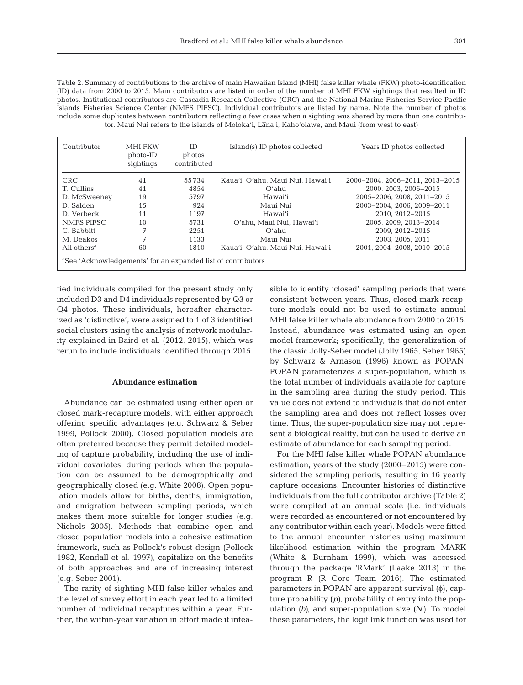Table 2. Summary of contributions to the archive of main Hawaiian Island (MHI) false killer whale (FKW) photo-identification (ID) data from 2000 to 2015. Main contributors are listed in order of the number of MHI FKW sightings that resulted in ID photos. Institutional contributors are Cascadia Research Collective (CRC) and the National Marine Fisheries Service Pacific Islands Fisheries Science Center (NMFS PIFSC). Individual contributors are listed by name. Note the number of photos include some duplicates between contributors reflecting a few cases when a sighting was shared by more than one contributor. Maui Nui refers to the islands of Moloka'i, Lana'i, Kaho'olawe, and Maui (from west to east)

| Contributor                                                              | MHI FKW<br>photo-ID<br>sightings | ID.<br>photos<br>contributed | Island(s) ID photos collected    | Years ID photos collected       |  |
|--------------------------------------------------------------------------|----------------------------------|------------------------------|----------------------------------|---------------------------------|--|
| CRC.                                                                     | 41                               | 55734                        | Kaua'i, O'ahu, Maui Nui, Hawai'i | 2000-2004, 2006-2011, 2013-2015 |  |
| T. Cullins                                                               | 41                               | 4854                         | $O'$ ahu                         | 2000. 2003. 2006-2015           |  |
| D. McSweeney                                                             | 19                               | 5797                         | Hawai'i                          | 2005-2006. 2008. 2011-2015      |  |
| D. Salden                                                                | 15                               | 924                          | Maui Nui                         | 2003-2004. 2006. 2009-2011      |  |
| D. Verbeck                                                               | 11                               | 1197                         | Hawaiʻi                          | 2010, 2012-2015                 |  |
| NMFS PIFSC                                                               | 10                               | 5731                         | O'ahu, Maui Nui, Hawai'i         | 2005, 2009, 2013-2014           |  |
| C. Babbitt                                                               | 7                                | 22.51                        | $O'$ ahu                         | 2009. 2012-2015                 |  |
| M. Deakos                                                                | 7                                | 1133                         | Maui Nui                         | 2003. 2005. 2011                |  |
| All others <sup>a</sup>                                                  | 60                               | 1810                         | Kaua'i, O'ahu, Maui Nui, Hawai'i | 2001. 2004-2008. 2010-2015      |  |
| <sup>a</sup> See 'Acknowledgements' for an expanded list of contributors |                                  |                              |                                  |                                 |  |

fied individuals compiled for the present study only included D3 and D4 individuals represented by Q3 or Q4 photos. These individuals, hereafter characterized as 'distinctive', were assigned to 1 of 3 identified social clusters using the analysis of network modularity explained in Baird et al. (2012, 2015), which was rerun to include individuals identified through 2015.

#### **Abundance estimation**

Abundance can be estimated using either open or closed mark-recapture models, with either approach offering specific advantages (e.g. Schwarz & Seber 1999, Pollock 2000). Closed population models are often preferred because they permit detailed modeling of capture probability, including the use of individual covariates, during periods when the population can be assumed to be demographically and geographically closed (e.g. White 2008). Open population models allow for births, deaths, immigration, and emigration between sampling periods, which makes them more suitable for longer studies (e.g. Nichols 2005). Methods that combine open and closed population models into a cohesive estimation framework, such as Pollock's robust design (Pollock 1982, Kendall et al. 1997), capitalize on the benefits of both approaches and are of increasing interest (e.g. Seber 2001).

The rarity of sighting MHI false killer whales and the level of survey effort in each year led to a limited number of individual recaptures within a year. Further, the within-year variation in effort made it infeasible to identify 'closed' sampling periods that were consistent between years. Thus, closed mark-recapture models could not be used to estimate annual MHI false killer whale abundance from 2000 to 2015. Instead, abundance was estimated using an open model framework; specifically, the generalization of the classic Jolly-Seber model (Jolly 1965, Seber 1965) by Schwarz & Arnason (1996) known as POPAN. POPAN parameterizes a super-population, which is the total number of individuals available for capture in the sampling area during the study period. This value does not extend to individuals that do not enter the sampling area and does not reflect losses over time. Thus, the super-population size may not represent a biological reality, but can be used to derive an estimate of abundance for each sampling period.

For the MHI false killer whale POPAN abundance estimation, years of the study (2000−2015) were considered the sampling periods, resulting in 16 yearly capture occasions. Encounter histories of distinctive individuals from the full contributor archive (Table 2) were compiled at an annual scale (i.e. individuals were recorded as encountered or not encountered by any contributor within each year). Models were fitted to the annual encounter histories using maximum likelihood estimation within the program MARK (White & Burnham 1999), which was accessed through the package 'RMark' (Laake 2013) in the program R (R Core Team 2016). The estimated parameters in POPAN are apparent survival (φ), capture probability *(p)*, probability of entry into the population *(b)*, and super-population size *(N)*. To model these parameters, the logit link function was used for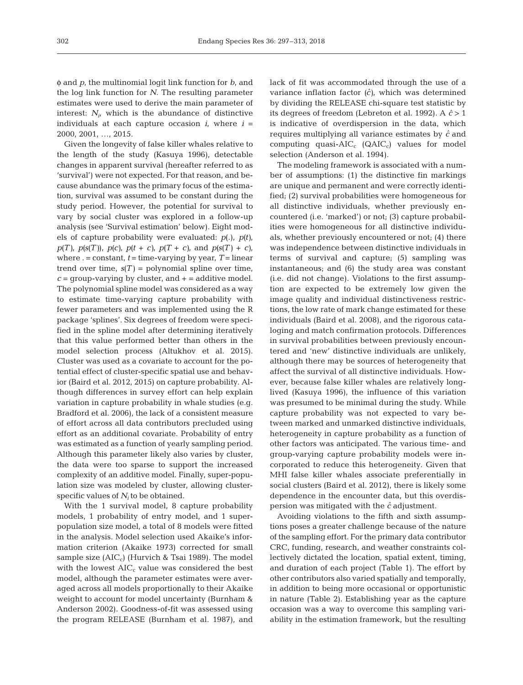φ and *p*, the multinomial logit link function for *b*, and the log link function for *N*. The resulting parameter estimates were used to derive the main parameter of interest:  $N_i$ , which is the abundance of distinctive individuals at each capture occasion  $i$ , where  $i =$ 2000, 2001, …, 2015.

Given the longevity of false killer whales relative to the length of the study (Kasuya 1996), detectable changes in apparent survival (hereafter referred to as 'survival') were not expected. For that reason, and because abundance was the primary focus of the estimation, survival was assumed to be constant during the study period. However, the potential for survival to vary by social cluster was explored in a follow-up analysis (see 'Survival estimation' below). Eight models of capture probability were evaluated: *p*(.), *p(t)*, *p*(*T*), *p*(*s*(*T*)), *p*(*c*), *p*(*t* + *c*), *p*(*T* + *c*), and *p*(*s*(*T*) + *c*), where  $. =$  constant,  $t =$  time-varying by year,  $T =$  linear trend over time,  $s(T)$  = polynomial spline over time,  $c =$  group-varying by cluster, and  $+$  = additive model. The polynomial spline model was considered as a way to estimate time-varying capture probability with fewer parameters and was implemented using the R package 'splines'. Six degrees of freedom were specified in the spline model after determining iteratively that this value performed better than others in the model selection process (Altukhov et al. 2015). Cluster was used as a covariate to account for the potential effect of cluster-specific spatial use and behavior (Baird et al. 2012, 2015) on capture probability. Although differences in survey effort can help explain variation in capture probability in whale studies (e.g. Bradford et al. 2006), the lack of a consistent measure of effort across all data contributors precluded using effort as an additional covariate. Probability of entry was estimated as a function of yearly sampling period. Although this parameter likely also varies by cluster, the data were too sparse to support the increased complexity of an additive model. Finally, super-population size was modeled by cluster, allowing clusterspecific values of  $N_i$  to be obtained.

With the 1 survival model, 8 capture probability models, 1 probability of entry model, and 1 superpopulation size model, a total of 8 models were fitted in the analysis. Model selection used Akaike's information criterion (Akaike 1973) corrected for small sample size  $(AIC_c)$  (Hurvich & Tsai 1989). The model with the lowest  $AIC_c$  value was considered the best model, although the parameter estimates were averaged across all models proportionally to their Akaike weight to account for model uncertainty (Burnham & Anderson 2002). Goodness-of-fit was assessed using the program RELEASE (Burnham et al. 1987), and lack of fit was accommodated through the use of a variance inflation factor  $(\hat{c})$ , which was determined by dividing the RELEASE chi-square test statistic by its degrees of freedom (Lebreton et al. 1992). A *cˆ* > 1 is indicative of overdispersion in the data, which requires multiplying all variance estimates by *cˆ* and computing quasi- $AIC_c$  (QAIC<sub>c</sub>) values for model selection (Anderson et al. 1994).

The modeling framework is associated with a number of assumptions: (1) the distinctive fin markings are unique and permanent and were correctly identified; (2) survival probabilities were homogeneous for all distinctive individuals, whether previously encountered (i.e. 'marked') or not; (3) capture probabilities were homogeneous for all distinctive individuals, whether previously encountered or not; (4) there was independence between distinctive individuals in terms of survival and capture; (5) sampling was instantaneous; and (6) the study area was constant (i.e. did not change). Violations to the first assumption are expected to be extremely low given the image quality and individual distinctiveness restrictions, the low rate of mark change estimated for these individuals (Baird et al. 2008), and the rigorous cataloging and match confirmation protocols. Differences in survival probabilities between previously encountered and 'new' distinctive individuals are unlikely, although there may be sources of heterogeneity that affect the survival of all distinctive individuals. However, because false killer whales are relatively longlived (Kasuya 1996), the influence of this variation was presumed to be minimal during the study. While capture probability was not expected to vary be tween marked and unmarked distinctive individuals, heterogeneity in capture probability as a function of other factors was anticipated. The various time- and group-varying capture probability models were in corporated to reduce this heterogeneity. Given that MHI false killer whales associate preferentially in social clusters (Baird et al. 2012), there is likely some dependence in the encounter data, but this overdispersion was mitigated with the *cˆ* adjustment.

Avoiding violations to the fifth and sixth assumptions poses a greater challenge because of the nature of the sampling effort. For the primary data contributor CRC, funding, research, and weather constraints collectively dictated the location, spatial extent, timing, and duration of each project (Table 1). The effort by other contributors also varied spatially and temporally, in addition to being more occasional or opportunistic in nature (Table 2). Establishing year as the capture occasion was a way to overcome this sampling variability in the estimation framework, but the resulting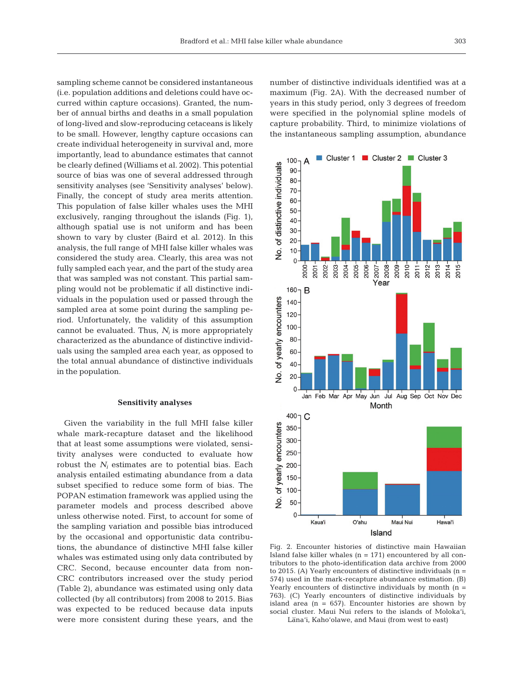sampling scheme cannot be considered instantaneous (i.e. population additions and deletions could have occurred within capture occasions). Granted, the number of annual births and deaths in a small population of long-lived and slow-reproducing cetaceans is likely to be small. However, lengthy capture occasions can create individual heterogeneity in survival and, more importantly, lead to abundance estimates that cannot be clearly defined (Williams et al. 2002). This potential source of bias was one of several addressed through sensitivity analyses (see 'Sensitivity analyses' below). Finally, the concept of study area merits attention. This population of false killer whales uses the MHI exclusively, ranging throughout the islands (Fig. 1), although spatial use is not uniform and has been shown to vary by cluster (Baird et al. 2012). In this analysis, the full range of MHI false killer whales was considered the study area. Clearly, this area was not fully sampled each year, and the part of the study area that was sampled was not constant. This partial sampling would not be problematic if all distinctive individuals in the population used or passed through the sampled area at some point during the sampling period. Unfortunately, the validity of this assumption cannot be evaluated. Thus,  $N_i$  is more appropriately characterized as the abundance of distinctive individuals using the sampled area each year, as opposed to the total annual abundance of distinctive individuals in the population.

#### **Sensitivity analyses**

Given the variability in the full MHI false killer whale mark-recapture dataset and the likelihood that at least some assumptions were violated, sensitivity analyses were conducted to evaluate how robust the *Ni* estimates are to potential bias. Each analysis entailed estimating abundance from a data subset specified to reduce some form of bias. The POPAN estimation framework was applied using the parameter models and process described above unless otherwise noted. First, to account for some of the sampling variation and possible bias introduced by the occasional and opportunistic data contributions, the abundance of distinctive MHI false killer whales was estimated using only data contributed by CRC. Second, because encounter data from non-CRC contributors increased over the study period (Table 2), abundance was estimated using only data collected (by all contributors) from 2008 to 2015. Bias was expected to be reduced because data inputs were more consistent during these years, and the number of distinctive individuals identified was at a maximum (Fig. 2A). With the decreased number of years in this study period, only 3 degrees of freedom were specified in the polynomial spline models of capture probability. Third, to minimize violations of the instantaneous sampling assumption, abundance



Fig. 2. Encounter histories of distinctive main Hawaiian Island false killer whales  $(n = 171)$  encountered by all contributors to the photo-identification data archive from 2000 to 2015. (A) Yearly encounters of distinctive individuals  $(n =$ 574) used in the mark-recapture abundance estimation. (B) Yearly encounters of distinctive individuals by month (n = 763). (C) Yearly encounters of distinctive individuals by island area  $(n = 657)$ . Encounter histories are shown by social cluster. Maui Nui refers to the islands of Moloka'i, Lana'i, Kaho'olawe, and Maui (from west to east)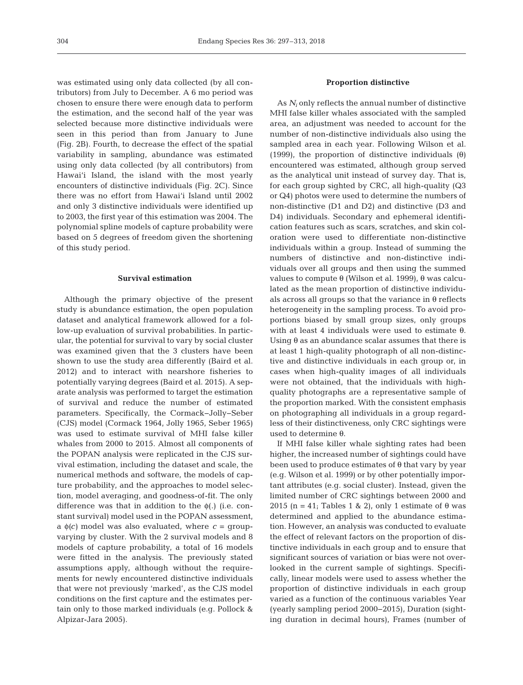was estimated using only data collected (by all contributors) from July to December. A 6 mo period was chosen to ensure there were enough data to perform the estimation, and the second half of the year was selected because more distinctive individuals were seen in this period than from January to June (Fig. 2B). Fourth, to decrease the effect of the spatial variability in sampling, abundance was estimated using only data collected (by all contributors) from Hawai'i Island, the island with the most yearly encounters of distinctive individuals (Fig. 2C). Since there was no effort from Hawai'i Island until 2002 and only 3 distinctive individuals were identified up to 2003, the first year of this estimation was 2004. The polynomial spline models of capture probability were based on 5 degrees of freedom given the shortening of this study period.

## **Survival estimation**

Although the primary objective of the present study is abundance estimation, the open population dataset and analytical framework allowed for a follow-up evaluation of survival probabilities. In particular, the potential for survival to vary by social cluster was examined given that the 3 clusters have been shown to use the study area differently (Baird et al. 2012) and to interact with nearshore fisheries to potentially varying degrees (Baird et al. 2015). A separate analysis was performed to target the estimation of survival and reduce the number of estimated parameters. Specifically, the Cormack−Jolly−Seber (CJS) model (Cormack 1964, Jolly 1965, Seber 1965) was used to estimate survival of MHI false killer whales from 2000 to 2015. Almost all components of the POPAN analysis were replicated in the CJS survival estimation, including the dataset and scale, the numerical methods and software, the models of capture probability, and the approaches to model selection, model averaging, and goodness-of-fit. The only difference was that in addition to the  $\phi$ (.) (i.e. constant survival) model used in the POPAN assessment, a  $\phi(c)$  model was also evaluated, where  $c = \text{group}$ varying by cluster. With the 2 survival models and 8 models of capture probability, a total of 16 models were fitted in the analysis. The previously stated assumptions apply, although without the requirements for newly encountered distinctive individuals that were not previously 'marked', as the CJS model conditions on the first capture and the estimates pertain only to those marked individuals (e.g. Pollock & Alpizar-Jara 2005).

### **Proportion distinctive**

As *Ni* only reflects the annual number of distinctive MHI false killer whales associated with the sampled area, an adjustment was needed to account for the number of non-distinctive individuals also using the sampled area in each year. Following Wilson et al. (1999), the proportion of distinctive individuals  $(\theta)$ encountered was estimated, although group served as the analytical unit instead of survey day. That is, for each group sighted by CRC, all high-quality (Q3 or Q4) photos were used to determine the numbers of non-distinctive (D1 and D2) and distinctive (D3 and D4) individuals. Secondary and ephemeral identification features such as scars, scratches, and skin coloration were used to differentiate non-distinctive individuals within a group. Instead of summing the numbers of distinctive and non-distinctive individuals over all groups and then using the summed values to compute θ (Wilson et al. 1999), θ was calculated as the mean proportion of distinctive individuals across all groups so that the variance in θ reflects heterogeneity in the sampling process. To avoid proportions biased by small group sizes, only groups with at least 4 individuals were used to estimate θ. Using  $\theta$  as an abundance scalar assumes that there is at least 1 high-quality photograph of all non-distinctive and distinctive individuals in each group or, in cases when high-quality images of all individuals were not obtained, that the individuals with highquality photographs are a representative sample of the proportion marked. With the consistent emphasis on photographing all individuals in a group regardless of their distinctiveness, only CRC sightings were used to determine θ.

If MHI false killer whale sighting rates had been higher, the increased number of sightings could have been used to produce estimates of  $\theta$  that vary by year (e.g. Wilson et al. 1999) or by other potentially important attributes (e.g. social cluster). Instead, given the limited number of CRC sightings between 2000 and 2015 (n = 41; Tables 1 & 2), only 1 estimate of  $\theta$  was determined and applied to the abundance estimation. However, an analysis was conducted to evaluate the effect of relevant factors on the proportion of distinctive individuals in each group and to ensure that significant sources of variation or bias were not overlooked in the current sample of sightings. Specifically, linear models were used to assess whether the proportion of distinctive individuals in each group varied as a function of the continuous variables Year (yearly sampling period 2000−2015), Duration (sighting duration in decimal hours), Frames (number of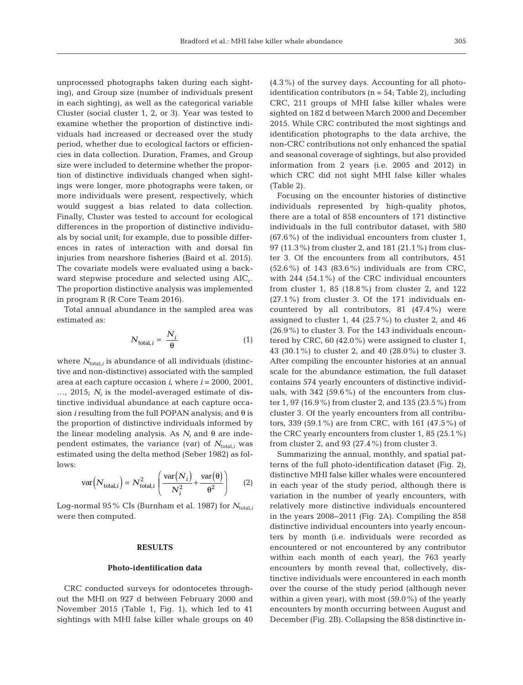unprocessed photographs taken during each sighting), and Group size (number of individuals present in each sighting), as well as the categorical variable Cluster (social cluster 1, 2, or 3). Year was tested to examine whether the proportion of distinctive individuals had increased or decreased over the study period, whether due to ecological factors or efficiencies in data collection. Duration, Frames, and Group size were included to determine whether the proportion of distinctive individuals changed when sightings were longer, more photographs were taken, or more individuals were present, respectively, which would suggest a bias related to data collection. Finally, Cluster was tested to account for ecological differences in the proportion of distinctive individuals by social unit; for example, due to possible differences in rates of interaction with and dorsal fin injuries from nearshore fisheries (Baird et al. 2015). The covariate models were evaluated using a backward stepwise procedure and selected using  $AIC_c$ . The proportion distinctive analysis was implemented in program R (R Core Team 2016).

Total annual abundance in the sampled area was estimated as:

$$
N_{\text{total},i} = \frac{N_i}{\theta} \tag{1}
$$

where  $N_{\text{total},i}$  is abundance of all individuals (distinctive and non-distinctive) associated with the sampled area at each capture occasion *i*, where *i* = 2000, 2001, …, 2015; *Ni* is the model-averaged estimate of distinctive individual abundance at each capture occasion *i* resulting from the full POPAN analysis; and θ is the proportion of distinctive individuals informed by the linear modeling analysis. As  $N_i$  and θ are independent estimates, the variance (var) of  $N_{total,i}$  was estimated using the delta method (Seber 1982) as follows:

$$
\text{var}\left(N_{\text{total},i}\right) = N_{\text{total},i}^2 \left(\frac{\text{var}\left(N_i\right)}{N_i^2} + \frac{\text{var}\left(\theta\right)}{\theta^2}\right) \tag{2}
$$

Log-normal 95% CIs (Burnham et al. 1987) for  $N_{total,i}$ were then computed.

## **RESULTS**

#### **Photo-identification data**

CRC conducted surveys for odontocetes throughout the MHI on 927 d between February 2000 and November 2015 (Table 1, Fig. 1), which led to 41 sightings with MHI false killer whale groups on 40 (4.3%) of the survey days. Accounting for all photoidentification contributors  $(n = 54; Table 2)$ , including CRC, 211 groups of MHI false killer whales were sighted on 182 d between March 2000 and December 2015. While CRC contributed the most sightings and identification photographs to the data archive, the non-CRC contributions not only enhanced the spatial and seasonal coverage of sightings, but also provided information from 2 years (i.e. 2005 and 2012) in which CRC did not sight MHI false killer whales (Table 2).

Focusing on the encounter histories of distinctive individuals represented by high-quality photos, there are a total of 858 encounters of 171 distinctive individuals in the full contributor dataset, with 580 (67.6%) of the individual encounters from cluster 1, 97 (11.3%) from cluster 2, and 181 (21.1%) from cluster 3. Of the encounters from all contributors, 451 (52.6%) of 143 (83.6%) individuals are from CRC, with 244 (54.1%) of the CRC individual encounters from cluster 1, 85 (18.8%) from cluster 2, and 122  $(27.1\%)$  from cluster 3. Of the 171 individuals encountered by all contributors, 81 (47.4%) were assigned to cluster 1, 44  $(25.7\%)$  to cluster 2, and 46 (26.9%) to cluster 3. For the 143 individuals encountered by CRC, 60 (42.0%) were assigned to cluster 1, 43 (30.1%) to cluster 2, and 40 (28.0%) to cluster 3. After compiling the encounter histories at an annual scale for the abundance estimation, the full dataset contains 574 yearly encounters of distinctive individuals, with 342 (59.6%) of the encounters from cluster 1, 97 (16.9%) from cluster 2, and 135 (23.5%) from cluster 3. Of the yearly encounters from all contributors, 339 (59.1%) are from CRC, with 161 (47.5%) of the CRC yearly encounters from cluster 1, 85 (25.1%) from cluster 2, and 93  $(27.4\%)$  from cluster 3.

Summarizing the annual, monthly, and spatial patterns of the full photo-identification dataset (Fig. 2), distinctive MHI false killer whales were encountered in each year of the study period, although there is variation in the number of yearly encounters, with relatively more distinctive individuals encountered in the years 2008−2011 (Fig. 2A). Compiling the 858 distinctive individual encounters into yearly encounters by month (i.e. individuals were recorded as encountered or not encountered by any contributor within each month of each year), the 763 yearly encounters by month reveal that, collectively, distinctive individuals were encountered in each month over the course of the study period (although never within a given year), with most (59.0%) of the yearly encounters by month occurring between August and December (Fig. 2B). Collapsing the 858 distinctive in -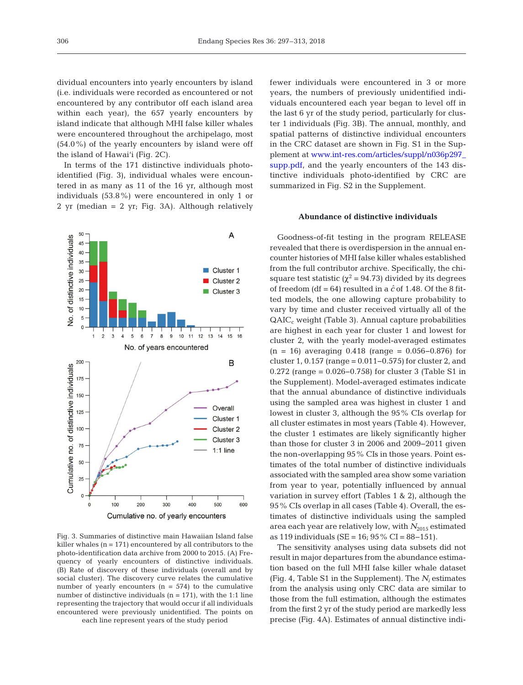dividual encounters into yearly encounters by island (i.e. individuals were recorded as encountered or not encountered by any contributor off each island area within each year), the 657 yearly encounters by island indicate that although MHI false killer whales were encountered throughout the archipelago, most  $(54.0\%)$  of the yearly encounters by island were off the island of Hawai'i (Fig. 2C).

In terms of the 171 distinctive individuals photoidentified (Fig. 3), individual whales were encountered in as many as 11 of the 16 yr, although most individuals (53.8%) were encountered in only 1 or 2 yr (median = 2 yr; Fig. 3A). Although relatively



Fig. 3. Summaries of distinctive main Hawaiian Island false killer whales  $(n = 171)$  encountered by all contributors to the photo-identification data archive from 2000 to 2015. (A) Frequency of yearly encounters of distinctive individuals. (B) Rate of discovery of these individuals (overall and by social cluster). The discovery curve relates the cumulative number of yearly encounters  $(n = 574)$  to the cumulative number of distinctive individuals  $(n = 171)$ , with the 1:1 line representing the trajectory that would occur if all individuals encountered were previously unidentified. The points on each line represent years of the study period

fewer individuals were encountered in 3 or more years, the numbers of previously unidentified individuals encountered each year began to level off in the last 6 yr of the study period, particularly for cluster 1 individuals (Fig. 3B). The annual, monthly, and spatial patterns of distinctive individual encounters in the CRC dataset are shown in Fig. S1 in the Supplement at www.int-res.com/articles/suppl/n036p297\_ supp.pdf, and the yearly encounters of the 143 distinctive individuals photo-identified by CRC are summarized in Fig. S2 in the Supplement.

## **Abundance of distinctive individuals**

Goodness-of-fit testing in the program RELEASE revealed that there is overdispersion in the annual encounter histories of MHI false killer whales established from the full contributor archive. Specifically, the chisquare test statistic ( $\chi^2$  = 94.73) divided by its degrees of freedom (df =  $64$ ) resulted in a  $\hat{c}$  of 1.48. Of the 8 fitted models, the one allowing capture probability to vary by time and cluster received virtually all of the  $QAIC<sub>c</sub>$  weight (Table 3). Annual capture probabilities are highest in each year for cluster 1 and lowest for cluster 2, with the yearly model-averaged estimates  $(n = 16)$  averaging 0.418 (range = 0.056–0.876) for cluster 1, 0.157 (range = 0.011−0.575) for cluster 2, and 0.272 (range = 0.026−0.758) for cluster 3 (Table S1 in the Supplement). Model-averaged estimates indicate that the annual abundance of distinctive individuals using the sampled area was highest in cluster 1 and lowest in cluster 3, although the 95% CIs overlap for all cluster estimates in most years (Table 4). However, the cluster 1 estimates are likely significantly higher than those for cluster 3 in 2006 and 2009−2011 given the non-overlapping 95% CIs in those years. Point estimates of the total number of distinctive individuals associated with the sampled area show some variation from year to year, potentially influenced by annual variation in survey effort (Tables 1 & 2), although the 95% CIs overlap in all cases (Table 4). Overall, the estimates of distinctive individuals using the sampled area each year are relatively low, with  $N_{2015}$  estimated as 119 individuals (SE = 16; 95% CI = 88−151).

The sensitivity analyses using data subsets did not result in major departures from the abundance estimation based on the full MHI false killer whale dataset (Fig. 4, Table S1 in the Supplement). The  $N_i$  estimates from the analysis using only CRC data are similar to those from the full estimation, although the estimates from the first 2 yr of the study period are markedly less precise (Fig. 4A). Estimates of annual distinctive indi-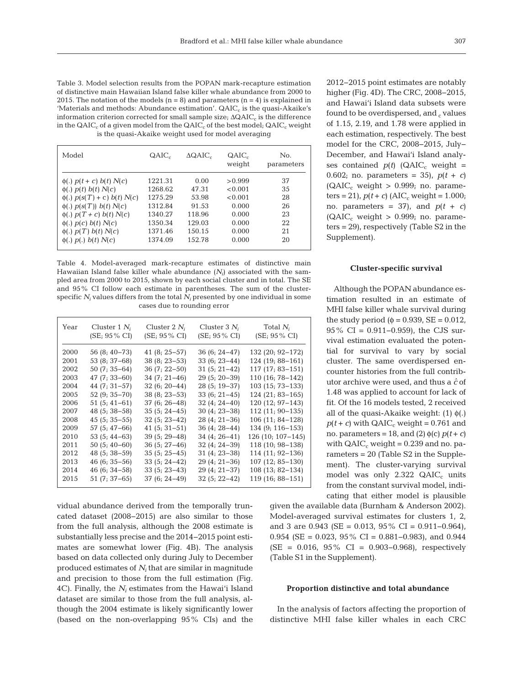Table 3. Model selection results from the POPAN mark-recapture estimation of distinctive main Hawaiian Island false killer whale abundance from 2000 to 2015. The notation of the models ( $n = 8$ ) and parameters ( $n = 4$ ) is explained in 'Materials and methods: Abundance estimation'.  $QAIC<sub>c</sub>$  is the quasi-Akaike's information criterion corrected for small sample size;  $\Delta \text{QAIC}_c$  is the difference in the  $QAIC_c$  of a given model from the  $QAIC_c$  of the best model;  $QAIC_c$  weight is the quasi-Akaike weight used for model averaging

| Model                              | QAIC <sub>c</sub> | $\Delta QAIC_c$ | $QAIC_c$<br>weight | No.<br>parameters |
|------------------------------------|-------------------|-----------------|--------------------|-------------------|
| $\phi(.)$ $p(t + c)$ $b(t)$ $N(c)$ | 1221.31           | 0.00            | > 0.999            | 37                |
| $\phi(.)$ $p(t)$ $b(t)$ $N(c)$     | 1268.62           | 47.31           | < 0.001            | 35                |
| $\phi(.)$ $p(s(T) + c) b(t) N(c)$  | 1275.29           | 53.98           | < 0.001            | 28                |
| $\phi(.)$ $p(s(T))$ $b(t)$ $N(c)$  | 1312.84           | 91.53           | 0.000              | 26                |
| $\phi(.)$ $p(T + c)$ $b(t)$ $N(c)$ | 1340.27           | 118.96          | 0.000              | 23                |
| $\phi(.)$ $p(c)$ $b(t)$ $N(c)$     | 1350.34           | 129.03          | 0.000              | 22                |
| $\phi(.)$ $p(T)$ $b(t)$ $N(c)$     | 1371.46           | 150.15          | 0.000              | 21                |
| $\phi(.)$ $p(.)$ $b(t)$ $N(c)$     | 1374.09           | 152.78          | 0.000              | 20                |

Table 4. Model-averaged mark-recapture estimates of distinctive main Hawaiian Island false killer whale abundance  $(N_i)$  associated with the sampled area from 2000 to 2015, shown by each social cluster and in total. The SE and 95% CI follow each estimate in parentheses. The sum of the clusterspecific  $N_i$  values differs from the total  $N_i$  presented by one individual in some cases due to rounding error

| Year | Cluster 1 $N_i$         | Cluster $2 N_i$  | Cluster $3 N_i$         | Total $N_i$             |
|------|-------------------------|------------------|-------------------------|-------------------------|
|      | $(SE; 95\% \text{ CI})$ | (SE; 95 % CI)    | $(SE; 95\% \text{ CI})$ | $(SE; 95\% \text{ CI})$ |
| 2000 | $56(8; 40-73)$          | $41(8; 25-57)$   | 36 (6; 24–47)           | 132 (20; 92-172)        |
| 2001 | $53(8; 37-68)$          | $38(8; 23-53)$   | $33(6; 23-44)$          | 124 (19; 88-161)        |
| 2002 | $50(7; 35-64)$          | $36(7; 22 - 50)$ | $31(5; 21-42)$          | 117 (17, 83–151)        |
| 2003 | $47(7, 33 - 60)$        | $34(7; 21-46)$   | $29(5; 20-39)$          | 110 (16; 78–142)        |
| 2004 | $44(7; 31-57)$          | $32(6; 20-44)$   | $28(5; 19-37)$          | 103 (15, 73–133)        |
| 2005 | $52(9; 35 - 70)$        | $38(8; 23-53)$   | $33(6; 21-45)$          | 124 (21, 83–165)        |
| 2006 | 51 (5; 41–61)           | $37(6; 26-48)$   | $32(4; 24-40)$          | $120(12; 97-143)$       |
| 2007 | 48 (5; 38–58)           | $35(5; 24-45)$   | 30 (4, 23–38)           | $112(11; 90-135)$       |
| 2008 | $45(5; 35-55)$          | $32(5; 23-42)$   | $28(4; 21-36)$          | $106(11; 84-128)$       |
| 2009 | $57(5; 47-66)$          | $41(5; 31-51)$   | $36(4; 28-44)$          | $134(9; 116 - 153)$     |
| 2010 | 53 (5; 44–63)           | $39(5; 29-48)$   | $34(4; 26-41)$          | 126 (10; 107–145)       |
| 2011 | $50(5; 40-60)$          | $36(5; 27-46)$   | $32(4; 24-39)$          | 118 (10; 98–138)        |
| 2012 | $48(5; 38-59)$          | $35(5; 25-45)$   | $31(4; 23-38)$          | 114 (11; 92-136)        |
| 2013 | 46 (6; 35–56)           | $33(5; 24-42)$   | $29(4; 21-36)$          | 107 (12, 85–130)        |
| 2014 | $46(6; 34-58)$          | $33(5; 23-43)$   | 29 (4; 21–37)           | 108 (13, 82–134)        |
| 2015 | $51(7; 37-65)$          | $37(6; 24-49)$   | $32(5; 22-42)$          | 119 (16; 88-151)        |

vidual abundance derived from the temporally truncated dataset (2008−2015) are also similar to those from the full analysis, although the 2008 estimate is substantially less precise and the 2014−2015 point estimates are somewhat lower (Fig. 4B). The analysis based on data collected only during July to December produced estimates of *Ni* that are similar in magnitude and precision to those from the full estimation (Fig. 4C). Finally, the  $N_i$  estimates from the Hawai'i Island dataset are similar to those from the full analysis, although the 2004 estimate is likely significantly lower (based on the non-overlapping 95% CIs) and the 2012−2015 point estimates are notably higher (Fig. 4D). The CRC, 2008− 2015, and Hawai'i Island data subsets were found to be overdispersed, and  $_c$  values of 1.15, 2.19, and 1.78 were applied in each estimation, respectively. The best model for the CRC, 2008−2015, July− December, and Hawai'i Island analyses contained  $p(t)$  (QAIC<sub>c</sub> weight = 0.602; no. parameters = 35),  $p(t + c)$  $(QAIC_c$  weight > 0.999; no. parame $ters = 21$ ,  $p(t + c)$  (AIC<sub>c</sub> weight = 1.000; no. parameters = 37), and  $p(t + c)$  $(QAIC<sub>c</sub> weight > 0.999; no. parameter)$ ters = 29), respectively (Table S2 in the Supplement).

#### **Cluster-specific survival**

Although the POPAN abundance estimation resulted in an estimate of MHI false killer whale survival during the study period ( $\phi$  = 0.939, SE = 0.012, 95% CI = 0.911–0.959), the CJS survival estimation evaluated the potential for survival to vary by social cluster. The same overdispersed encounter histories from the full contributor archive were used, and thus a *cˆ* of 1.48 was applied to account for lack of fit. Of the 16 models tested, 2 received all of the quasi-Akaike weight:  $(1)$   $\phi(.)$  $p(t + c)$  with QAIC<sub>c</sub> weight = 0.761 and no. parameters = 18, and (2)  $\phi(c) p(t + c)$ with  $QAIC<sub>c</sub>$  weight = 0.239 and no. parameters = 20 (Table S2 in the Supplement). The cluster-varying survival model was only  $2.322$  QAIC<sub>c</sub> units from the constant survival model, indicating that either model is plausible

given the available data (Burnham & Anderson 2002). Model-averaged survival estimates for clusters 1, 2, and 3 are 0.943 (SE = 0.013, 95% CI = 0.911−0.964), 0.954 (SE = 0.023, 95% CI = 0.881–0.983), and 0.944 (SE = 0.016, 95% CI = 0.903−0.968), respectively (Table S1 in the Supplement).

#### **Proportion distinctive and total abundance**

In the analysis of factors affecting the proportion of distinctive MHI false killer whales in each CRC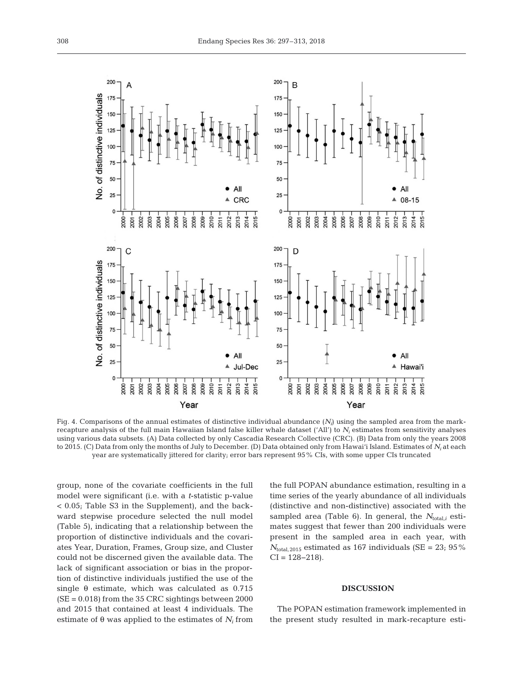

Fig. 4. Comparisons of the annual estimates of distinctive individual abundance  $(N<sub>i</sub>)$  using the sampled area from the markrecapture analysis of the full main Hawaiian Island false killer whale dataset ('All') to *Ni* estimates from sensitivity analyses using various data subsets. (A) Data collected by only Cascadia Research Collective (CRC). (B) Data from only the years 2008 to 2015. (C) Data from only the months of July to December. (D) Data obtained only from Hawai'i Island. Estimates of *Ni* at each year are systematically jittered for clarity; error bars represent 95% CIs, with some upper CIs truncated

group, none of the covariate coefficients in the full model were significant (i.e. with a *t*-statistic p-value < 0.05; Table S3 in the Supplement), and the backward stepwise procedure selected the null model (Table 5), indicating that a relationship between the proportion of distinctive individuals and the covariates Year, Duration, Frames, Group size, and Cluster could not be discerned given the available data. The lack of significant association or bias in the proportion of distinctive individuals justified the use of the single  $\theta$  estimate, which was calculated as 0.715 (SE = 0.018) from the 35 CRC sightings between 2000 and 2015 that contained at least 4 individuals. The estimate of  $\theta$  was applied to the estimates of  $N_i$  from

the full POPAN abundance estimation, resulting in a time series of the yearly abundance of all individuals (distinctive and non-distinctive) associated with the sampled area (Table 6). In general, the  $N_{total}$  estimates suggest that fewer than 200 individuals were present in the sampled area in each year, with  $N_{\text{total},2015}$  estimated as 167 individuals (SE = 23; 95%)  $CI = 128 - 218$ .

## **DISCUSSION**

The POPAN estimation framework implemented in the present study resulted in mark-recapture esti-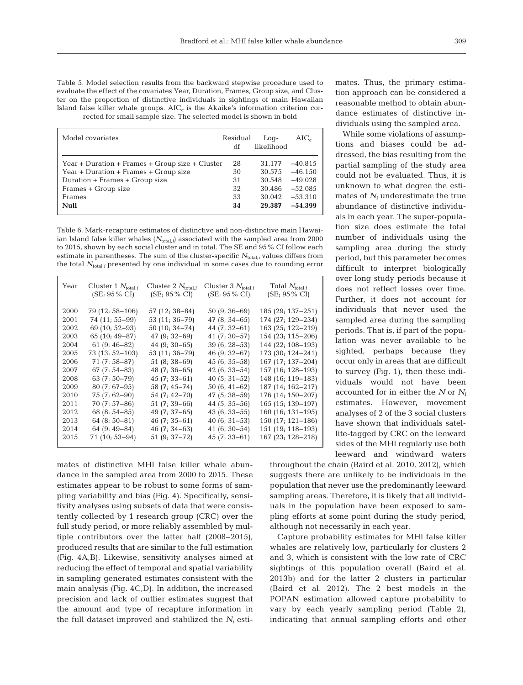| Table 5. Model selection results from the backward stepwise procedure used to       |
|-------------------------------------------------------------------------------------|
| evaluate the effect of the covariates Year, Duration, Frames, Group size, and Clus- |
| ter on the proportion of distinctive individuals in sightings of main Hawaiian      |
| Island false killer whale groups. $AICc$ is the Akaike's information criterion cor- |
| rected for small sample size. The selected model is shown in bold                   |

| Model covariates                                  | Residual<br>df | $Log-$<br>likelihood | $AIC_c$   |
|---------------------------------------------------|----------------|----------------------|-----------|
| $Year + Duration + Frames + Group size + Cluster$ | 28             | 31.177               | $-40.815$ |
| Year + Duration + Frames + Group size             | 30             | 30.575               | $-46.150$ |
| Duration + Frames + Group size                    | 31             | 30.548               | $-49.028$ |
| Frames + Group size                               | 32             | 30.486               | $-52.085$ |
| Frames                                            | 33             | 30.042               | $-53.310$ |
| <b>Null</b>                                       | 34             | 29.387               | $-54.399$ |

Table 6. Mark-recapture estimates of distinctive and non-distinctive main Hawaiian Island false killer whales ( $N_{total,i}$ ) associated with the sampled area from 2000 to 2015, shown by each social cluster and in total. The SE and 95% CI follow each estimate in parentheses. The sum of the cluster-specific  $N_{total,i}$  values differs from the total  $N_{\text{total},i}$  presented by one individual in some cases due to rounding error

| Year | Cluster 1 $N_{\text{total},i}$<br>$(SE; 95\% CI)$ | Cluster 2 $N_{\text{total},i}$<br>$(SE; 95\% CI)$ | Cluster 3 $N_{total,i}$<br>$(SE; 95\% CI)$ | Total $N_{\text{total},i}$<br>(SE; 95% CI) |
|------|---------------------------------------------------|---------------------------------------------------|--------------------------------------------|--------------------------------------------|
| 2000 | 79 (12; 58–106)                                   | 57 (12, 38–84)                                    | $50(9; 36-69)$                             | 185 (29; 137–251)                          |
| 2001 | 74 (11; 55–99)                                    | 53 (11, 36–79)                                    | $47(8; 34-65)$                             | 174 (27, 129–234)                          |
| 2002 | $69(10; 52-93)$                                   | 50 (10; 34–74)                                    | 44 $(7; 32-61)$                            | 163 (25, 122–219)                          |
| 2003 | $65(10; 49-87)$                                   | $47(9; 32-69)$                                    | $41(7; 30-57)$                             | 154 (23; 115-206)                          |
| 2004 | 61 $(9; 46-82)$                                   | $44(9; 30-65)$                                    | $39(6; 28-53)$                             | 144 (22, 108–193)                          |
| 2005 | 73 (13; 52-103)                                   | 53 (11, 36–79)                                    | 46 (9; 32–67)                              | 173 (30; 124–241)                          |
| 2006 | 71 (7; 58–87)                                     | 51 (8; 38–69)                                     | 45 (6; 35–58)                              | 167 (17, 137–204)                          |
| 2007 | $67(7; 54-83)$                                    | $48(7; 36-65)$                                    | $42(6; 33-54)$                             | 157 (16, 128–193)                          |
| 2008 | $63(7; 50-79)$                                    | 45 (7; 33–61)                                     | $40(5; 31-52)$                             | 148 (16; 119–183)                          |
| 2009 | $80(7; 67-95)$                                    | 58 (7; 45–74)                                     | $50(6; 41-62)$                             | 187 (14, 162–217)                          |
| 2010 | 75 (7; 62–90)                                     | 54 (7; 42–70)                                     | 47 (5; 38–59)                              | 176 (14, 150–207)                          |
| 2011 | 70 (7; 57–86)                                     | 51 (7; 39–66)                                     | 44 $(5; 35-56)$                            | 165 (15, 139–197)                          |
| 2012 | $68(8; 54-85)$                                    | $49(7; 37-65)$                                    | $43(6; 33-55)$                             | $160(16; 131-195)$                         |
| 2013 | $64(8; 50-81)$                                    | $46(7; 35-61)$                                    | $40(6; 31-53)$                             | $150(17; 121-186)$                         |
| 2014 | $64(9; 49-84)$                                    | 46 (7; 34–63)                                     | 41 $(6; 30-54)$                            | 151 (19, 118–193)                          |
| 2015 | 71 (10; 53-94)                                    | 51 (9; 37-72)                                     | $45(7; 33 - 61)$                           | 167 (23, 128–218)                          |
|      |                                                   |                                                   |                                            |                                            |

mates of distinctive MHI false killer whale abundance in the sampled area from 2000 to 2015. These estimates appear to be robust to some forms of sampling variability and bias (Fig. 4). Specifically, sensitivity analyses using subsets of data that were consistently collected by 1 research group (CRC) over the full study period, or more reliably assembled by multiple contributors over the latter half (2008−2015), produced results that are similar to the full estimation (Fig. 4A,B). Likewise, sensitivity analyses aimed at reducing the effect of temporal and spatial variability in sampling generated estimates consistent with the main analysis (Fig. 4C,D). In addition, the increased precision and lack of outlier estimates suggest that the amount and type of recapture information in the full dataset improved and stabilized the  $N_i$  estimates. Thus, the primary estimation approach can be considered a reasonable method to obtain abundance estimates of distinctive individuals using the sampled area.

While some violations of assumptions and biases could be addressed, the bias resulting from the partial sampling of the study area could not be evaluated. Thus, it is unknown to what degree the estimates of *Ni* underestimate the true abundance of distinctive individuals in each year. The super-population size does estimate the total number of individuals using the sampling area during the study period, but this parameter becomes difficult to interpret biologically over long study periods because it does not reflect losses over time. Further, it does not account for individuals that never used the sampled area during the sampling periods. That is, if part of the population was never available to be sighted, perhaps because they occur only in areas that are difficult to survey (Fig. 1), then these individuals would not have been accounted for in either the *N* or *Ni* estimates. However, movement analyses of 2 of the 3 social clusters have shown that individuals satellite-tagged by CRC on the leeward sides of the MHI regularly use both leeward and windward waters

throughout the chain (Baird et al. 2010, 2012), which suggests there are unlikely to be individuals in the population that never use the predominantly leeward sampling areas. Therefore, it is likely that all individuals in the population have been exposed to sampling efforts at some point during the study period, although not necessarily in each year.

Capture probability estimates for MHI false killer whales are relatively low, particularly for clusters 2 and 3, which is consistent with the low rate of CRC sightings of this population overall (Baird et al. 2013b) and for the latter 2 clusters in particular (Baird et al. 2012). The 2 best models in the POPAN estimation allowed capture probability to vary by each yearly sampling period (Table 2), indicating that annual sampling efforts and other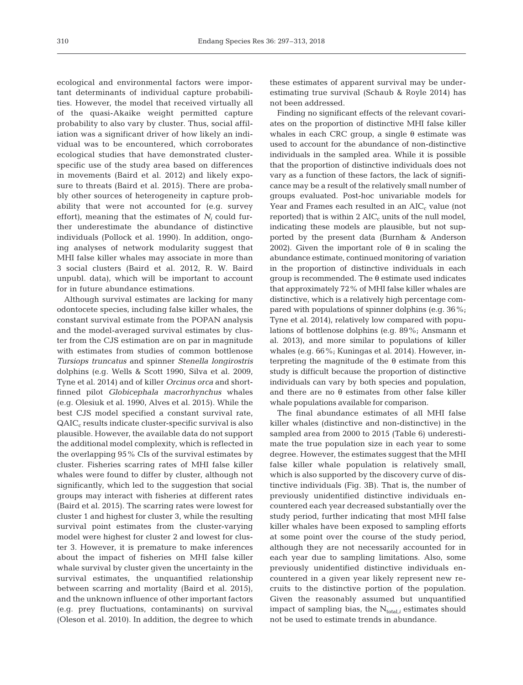ecological and environmental factors were important determinants of individual capture probabilities. However, the model that received virtually all of the quasi-Akaike weight permitted capture probability to also vary by cluster. Thus, social affiliation was a significant driver of how likely an individual was to be encountered, which corroborates ecological studies that have demonstrated clusterspecific use of the study area based on differences in movements (Baird et al. 2012) and likely exposure to threats (Baird et al. 2015). There are probably other sources of heterogeneity in capture probability that were not accounted for (e.g. survey effort), meaning that the estimates of  $N_i$  could further underestimate the abundance of distinctive individuals (Pollock et al. 1990). In addition, ongoing analyses of network modularity suggest that MHI false killer whales may associate in more than 3 social clusters (Baird et al. 2012, R. W. Baird unpubl. data), which will be important to account for in future abundance estimations.

Although survival estimates are lacking for many odontocete species, including false killer whales, the constant survival estimate from the POPAN analysis and the model-averaged survival estimates by cluster from the CJS estimation are on par in magnitude with estimates from studies of common bottlenose *Tursiops truncatus* and spinner *Stenella longirostris* dolphins (e.g. Wells & Scott 1990, Silva et al. 2009, Tyne et al. 2014) and of killer *Orcinus orca* and shortfinned pilot *Globicephala macrorhynchus* whales (e.g. Olesiuk et al. 1990, Alves et al. 2015)*.* While the best CJS model specified a constant survival rate,  $QAIC<sub>c</sub>$  results indicate cluster-specific survival is also plausible. However, the available data do not support the additional model complexity, which is reflected in the overlapping 95% CIs of the survival estimates by cluster. Fisheries scarring rates of MHI false killer whales were found to differ by cluster, although not significantly, which led to the suggestion that social groups may interact with fisheries at different rates (Baird et al. 2015). The scarring rates were lowest for cluster 1 and highest for cluster 3, while the resulting survival point estimates from the cluster-varying model were highest for cluster 2 and lowest for cluster 3. However, it is premature to make inferences about the impact of fisheries on MHI false killer whale survival by cluster given the uncertainty in the survival estimates, the unquantified relationship between scarring and mortality (Baird et al. 2015), and the unknown influence of other important factors (e.g. prey fluctuations, contaminants) on survival (Oleson et al. 2010). In addition, the degree to which

these estimates of apparent survival may be under estimating true survival (Schaub & Royle 2014) has not been addressed.

Finding no significant effects of the relevant covariates on the proportion of distinctive MHI false killer whales in each CRC group, a single  $θ$  estimate was used to account for the abundance of non-distinctive individuals in the sampled area. While it is possible that the proportion of distinctive individuals does not vary as a function of these factors, the lack of significance may be a result of the relatively small number of groups evaluated. Post-hoc univariable models for Year and Frames each resulted in an  $AIC_c$  value (not reported) that is within  $2 AIC<sub>c</sub>$  units of the null model, indicating these models are plausible, but not supported by the present data (Burnham & Anderson 2002). Given the important role of  $θ$  in scaling the abundance estimate, continued monitoring of variation in the proportion of distinctive individuals in each group is recommended. The θ estimate used indicates that approximately 72% of MHI false killer whales are distinctive, which is a relatively high percentage compared with populations of spinner dolphins (e.g. 36%; Tyne et al. 2014), relatively low compared with populations of bottlenose dolphins (e.g. 89%; Ansmann et al. 2013), and more similar to populations of killer whales (e.g. 66%; Kuningas et al. 2014). However, interpreting the magnitude of the  $\theta$  estimate from this study is difficult because the proportion of distinctive individuals can vary by both species and population, and there are no θ estimates from other false killer whale populations available for comparison.

The final abundance estimates of all MHI false killer whales (distinctive and non-distinctive) in the sampled area from 2000 to 2015 (Table 6) underestimate the true population size in each year to some degree. However, the estimates suggest that the MHI false killer whale population is relatively small, which is also supported by the discovery curve of distinctive individuals (Fig. 3B). That is, the number of previously unidentified distinctive individuals en countered each year decreased substantially over the study period, further indicating that most MHI false killer whales have been exposed to sampling efforts at some point over the course of the study period, although they are not necessarily accounted for in each year due to sampling limitations. Also, some previously unidentified distinctive individuals encountered in a given year likely represent new recruits to the distinctive portion of the population. Given the reasonably assumed but unquantified impact of sampling bias, the  $N_{total,i}$  estimates should not be used to estimate trends in abundance.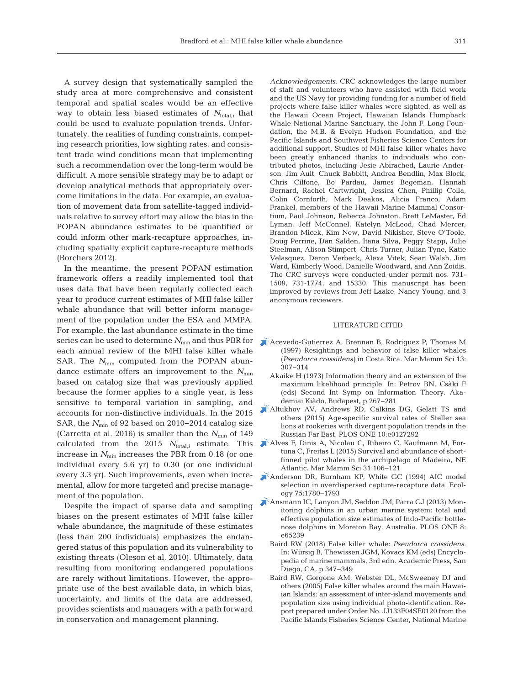A survey design that systematically sampled the study area at more comprehensive and consistent temporal and spatial scales would be an effective way to obtain less biased estimates of  $N_{total,i}$  that could be used to evaluate population trends. Unfortunately, the realities of funding constraints, competing research priorities, low sighting rates, and consistent trade wind conditions mean that implementing such a recommendation over the long-term would be difficult. A more sensible strategy may be to adapt or develop analytical methods that appropriately overcome limitations in the data. For example, an evaluation of movement data from satellite-tagged individuals relative to survey effort may allow the bias in the POPAN abundance estimates to be quantified or could inform other mark-recapture approaches, in cluding spatially explicit capture-recapture methods (Borchers 2012).

In the meantime, the present POPAN estimation framework offers a readily implemented tool that uses data that have been regularly collected each year to produce current estimates of MHI false killer whale abundance that will better inform management of the population under the ESA and MMPA. For example, the last abundance estimate in the time series can be used to determine *N*min and thus PBR for [Acevedo-Gutierrez A, Brennan B, Rodriguez P, Thomas M](https://doi.org/10.1111/j.1748-7692.1997.tb00634.x) each annual review of the MHI false killer whale SAR. The  $N_{\text{min}}$  computed from the POPAN abundance estimate offers an improvement to the  $N_{\text{min}}$ based on catalog size that was previously applied because the former applies to a single year, is less sensitive to temporal variation in sampling, and accounts for non-distinctive individuals. In the 2015 SAR, the *N*<sub>min</sub> of 92 based on 2010−2014 catalog size (Carretta et al. 2016) is smaller than the  $N_{\text{min}}$  of 149 calculated from the 2015  $N_{\text{total},i}$  estimate. This increase in  $N_{\text{min}}$  increases the PBR from 0.18 (or one individual every 5.6 yr) to 0.30 (or one individual every 3.3 yr). Such improvements, even when incremental, allow for more targeted and precise management of the population.

Despite the impact of sparse data and sampling biases on the present estimates of MHI false killer whale abundance, the magnitude of these estimates (less than 200 individuals) emphasizes the endangered status of this population and its vulnerability to existing threats (Oleson et al. 2010). Ultimately, data resulting from monitoring endangered populations are rarely without limitations. However, the appropriate use of the best available data, in which bias, uncertainty, and limits of the data are addressed, provides scientists and managers with a path forward in conservation and management planning.

*Acknowledgements*. CRC acknowledges the large number of staff and volunteers who have assisted with field work and the US Navy for providing funding for a number of field projects where false killer whales were sighted, as well as the Hawaii Ocean Project, Hawaiian Islands Humpback Whale National Marine Sanctuary, the John F. Long Foundation, the M.B. & Evelyn Hudson Foundation, and the Pacific Islands and Southwest Fisheries Science Centers for additional support. Studies of MHI false killer whales have been greatly enhanced thanks to individuals who contributed photos, including Jesie Abirached, Laurie Anderson, Jim Ault, Chuck Babbitt, Andrea Bendlin, Max Block, Chris Cilfone, Bo Pardau, James Begeman, Hannah Bernard, Rachel Cartwright, Jessica Chen, Phillip Colla, Colin Cornforth, Mark Deakos, Alicia Franco, Adam Frankel, members of the Hawaii Marine Mammal Consortium, Paul Johnson, Rebecca Johnston, Brett LeMaster, Ed Lyman, Jeff McConnel, Katelyn McLeod, Chad Mercer, Brandon Micek, Kim New, David Nikisher, Steve O'Toole, Doug Perrine, Dan Salden, Itana Silva, Peggy Stapp, Julie Steelman, Alison Stimpert, Chris Turner, Julian Tyne, Katie Velasquez, Deron Verbeck, Alexa Vitek, Sean Walsh, Jim Ward, Kimberly Wood, Danielle Woodward, and Ann Zoidis. The CRC surveys were conducted under permit nos. 731- 1509, 731-1774, and 15330. This manuscript has been improved by reviews from Jeff Laake, Nancy Young, and 3 anonymous reviewers.

### LITERATURE CITED

- (1997) Resightings and behavior of false killer whales (*Pseudorca crassidens)* in Costa Rica. Mar Mamm Sci 13: 307−314
- Akaike H (1973) Information theory and an extension of the maximum likelihood principle. In: Petrov BN, Csàki F (eds) Second Int Symp on Information Theory. Aka demiai Kiàdo, Budapest, p 267−281
- [Altukhov AV, Andrews RD, Calkins DG, Gelatt TS and](https://doi.org/10.1371/journal.pone.0127292) others (2015) Age-specific survival rates of Steller sea lions at rookeries with divergent population trends in the Russian Far East. PLOS ONE 10:e0127292
- [Alves F, Dinis A, Nicolau C, Ribeiro C, Kaufmann M, For](https://doi.org/10.1111/mms.12137)tuna C, Freitas L (2015) Survival and abundance of shortfinned pilot whales in the archipelago of Madeira, NE Atlantic. Mar Mamm Sci 31: 106−121
- [Anderson DR, Burnham KP, White GC \(1994\) AIC model](https://doi.org/10.2307/1939637) selection in overdispersed capture-recapture data. Ecology 75: 1780−1793
- [Ansmann IC, Lanyon JM, Seddon JM, Parra GJ \(2013\) Mon](https://doi.org/10.1371/journal.pone.0065239)itoring dolphins in an urban marine system: total and effective population size estimates of Indo-Pacific bottlenose dolphins in Moreton Bay, Australia. PLOS ONE 8: e65239
	- Baird RW (2018) False killer whale: *Pseudorca crassidens*. In:Würsig B, Thewissen JGM, Kovacs KM (eds) Encyclopedia of marine mammals, 3rd edn. Academic Press, San Diego, CA, p 347−349
	- Baird RW, Gorgone AM, Webster DL, McSweeney DJ and others (2005) False killer whales around the main Hawaiian Islands: an assessment of inter-island movements and population size using individual photo-identification. Report prepared under Order No. JJ133F04SE0120 from the Pacific Islands Fisheries Science Center, National Marine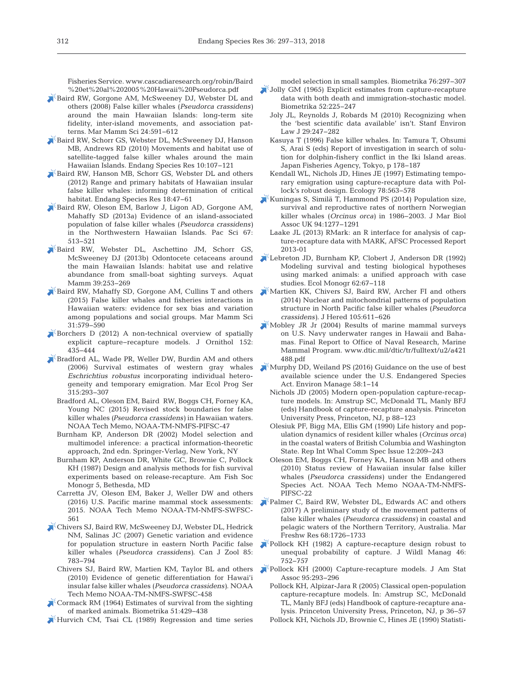Fisheries Service. www.cascadiaresearch.org/robin/Baird %20et%20al%202005%20Hawaii%20Pseudorca.pdf

- [Baird RW, Gorgone AM, McSweeney DJ, Webster DL and](https://doi.org/10.1111/j.1748-7692.2008.00200.x) others (2008) False killer whales (*Pseudorca crassidens)* around the main Hawaiian Islands: long-term site fidelity, inter-island movements, and association patterns. Mar Mamm Sci 24: 591−612
- [Baird RW, Schorr GS, Webster DL, McSweeney DJ, Hanson](https://doi.org/10.3354/esr00258) MB, Andrews RD (2010) Movements and habitat use of satellite-tagged false killer whales around the main Hawaiian Islands. Endang Species Res 10: 107−121
- [Baird RW, Hanson MB, Schorr GS, Webster DL and others](https://doi.org/10.3354/esr00435) (2012) Range and primary habitats of Hawaiian insular false killer whales: informing determination of critical habitat. Endang Species Res 18: 47−61
- [Baird RW, Oleson EM, Barlow J, Ligon AD, Gorgone AM,](https://doi.org/10.2984/67.4.2) Mahaffy SD (2013a) Evidence of an island-associated population of false killer whales (*Pseudorca crassidens)* in the Northwestern Hawaiian Islands. Pac Sci 67: 513−521
- [Baird RW, Webster DL, Aschettino JM, Schorr GS,](https://doi.org/10.1578/AM.39.3.2013.253) McSweeney DJ (2013b) Odontocete cetaceans around the main Hawaiian Islands: habitat use and relative abundance from small-boat sighting surveys. Aquat Mamm 39:253-269
- [Baird RW, Mahaffy SD, Gorgone AM, Cullins T and others](https://doi.org/10.1111/mms.12177) (2015) False killer whales and fisheries interactions in Hawaiian waters: evidence for sex bias and variation among populations and social groups. Mar Mamm Sci 31: 579−590
- [Borchers D \(2012\) A non-technical overview of spatially](https://doi.org/10.1007/s10336-010-0583-z) explicit capture−recapture models. J Ornithol 152: 435−444
- [Bradford AL, Wade PR, Weller DW, Burdin AM and others](https://doi.org/10.3354/meps315293) (2006) Survival estimates of western gray whales *Eschrichtius robustus* incorporating individual heterogeneity and temporary emigration. Mar Ecol Prog Ser 315: 293−307
	- Bradford AL, Oleson EM, Baird RW, Boggs CH, Forney KA, Young NC (2015) Revised stock boundaries for false killer whales *(Pseudorca crassidens)* in Hawaiian waters. NOAA Tech Memo, NOAA-TM-NMFS-PIFSC-47
	- Burnham KP, Anderson DR (2002) Model selection and multimodel inference: a practical information-theoretic approach, 2nd edn. Springer-Verlag, New York, NY
	- Burnham KP, Anderson DR, White GC, Brownie C, Pollock KH (1987) Design and analysis methods for fish survival experiments based on release-recapture. Am Fish Soc Monogr 5, Bethesda, MD
	- Carretta JV, Oleson EM, Baker J, Weller DW and others (2016) U.S. Pacific marine mammal stock assessments: 2015. NOAA Tech Memo NOAA-TM-NMFS-SWFSC-561
- [Chivers SJ, Baird RW, McSweeney DJ, Webster DL, Hedrick](https://doi.org/10.1139/Z07-059) NM, Salinas JC (2007) Genetic variation and evidence for population structure in eastern North Pacific false killer whales (*Pseudorca crassidens)*. Can J Zool 85: 783−794
	- Chivers SJ, Baird RW, Martien KM, Taylor BL and others (2010) Evidence of genetic differentiation for Hawai'i insular false killer whales (*Pseudorca crassidens)*. NOAA Tech Memo NOAA-TM-NMFS-SWFSC-458
- [Cormack RM \(1964\) Estimates of survival from the sighting](https://doi.org/10.1093/biomet/51.3-4.429) of marked animals. Biometrika 51: 429−438

[Hurvich CM, Tsai CL \(1989\) Regression and time series](https://doi.org/10.1093/biomet/76.2.297)

model selection in small samples. Biometrika 76: 297−307

- [Jolly GM \(1965\) Explicit estimates from capture-recapture](https://doi.org/10.1093/biomet/52.1-2.225) data with both death and immigration-stochastic model. Biometrika 52:225−247
	- Joly JL, Reynolds J, Robards M (2010) Recognizing when the 'best scientific data available' isn't. Stanf Environ Law J 29:247-282
	- Kasuya T (1996) False killer whales. In: Tamura T, Ohsumi S, Arai S (eds) Report of investigation in search of solution for dolphin-fishery conflict in the Iki Island areas. Japan Fisheries Agency, Tokyo, p 178−187
	- Kendall WL, Nichols JD, Hines JE (1997) Estimating temporary emigration using capture-recapture data with Pollock's robust design. Ecology 78:563-578
- $\mathbb{R}$ [Kuningas S, Similä T, Hammond PS \(2014\) Population size,](https://doi.org/10.1017/S0025315413000933) survival and reproductive rates of northern Norwegian killer whales (*Orcinus orca)* in 1986−2003. J Mar Biol Assoc UK 94: 1277−1291
- Laake JL (2013) RMark: an R interface for analysis of capture- recapture data with MARK, AFSC Processed Report 2013-01
- [Lebreton JD, Burnham KP, Clobert J, Anderson DR \(1992\)](https://doi.org/10.2307/2937171) Modeling survival and testing biological hypotheses using marked animals: a unified approach with case studies. Ecol Monogr 62:67-118
- [Martien KK, Chivers SJ, Baird RW, Archer FI and others](https://doi.org/10.1093/jhered/esu029) (2014) Nuclear and mitochondrial patterns of population structure in North Pacific false killer whales (*Pseudorca crassidens*). J Hered 105:611-626
- $\mathbb{K}$  [Mobley JR Jr \(2004\) Results of marine mammal surveys](http://www.dtic.mil/dtic/tr/fulltext/u2/a421488.pdf) on U.S. Navy underwater ranges in Hawaii and Baha mas. Final Report to Office of Naval Research, Marine Mammal Program. www.dtic.mil/dtic/tr/fulltext/u2/a421 488. pdf
- [Murphy DD, Weiland PS \(2016\) Guidance on the use of best](https://doi.org/10.1007/s00267-016-0697-z) available science under the U.S. Endangered Species Act. Environ Manage 58: 1−14
	- Nichols JD (2005) Modern open-population capture-recapture models. In: Amstrup SC, McDonald TL, Manly BFJ (eds) Handbook of capture-recapture analysis. Princeton University Press, Princeton, NJ, p 88−123
	- Olesiuk PF, Bigg MA, Ellis GM (1990) Life history and population dynamics of resident killer whales (*Orcinus orca)* in the coastal waters of British Columbia and Washington State. Rep Int Whal Comm Spec Issue 12:209−243
	- Oleson EM, Boggs CH, Forney KA, Hanson MB and others (2010) Status review of Hawaiian insular false killer whales (*Pseudorca crassidens)* under the Endangered Species Act. NOAA Tech Memo NOAA-TM-NMFS-PIFSC-22
- [Palmer C, Baird RW, Webster DL, Edwards AC and others](https://doi.org/10.1071/MF16296) (2017) A preliminary study of the movement patterns of false killer whales (*Pseudorca crassidens)* in coastal and pelagic waters of the Northern Territory, Australia. Mar Freshw Res 68: 1726−1733
- [Pollock KH \(1982\) A capture-recapture design robust to](https://doi.org/10.2307/3808568) unequal probability of capture. J Wildl Manag 46: 752−757
- [Pollock KH \(2000\) Capture-recapture models. J Am Stat](https://doi.org/10.1080/01621459.2000.10473926) Assoc 95: 293−296
	- Pollock KH, Alpizar-Jara R (2005) Classical open-population capture-recapture models. In: Amstrup SC, McDonald TL, Manly BFJ (eds) Handbook of capture-recapture ana lysis. Princeton University Press, Princeton, NJ, p 36−57
	- Pollock KH, Nichols JD, Brownie C, Hines JE (1990) Statisti-